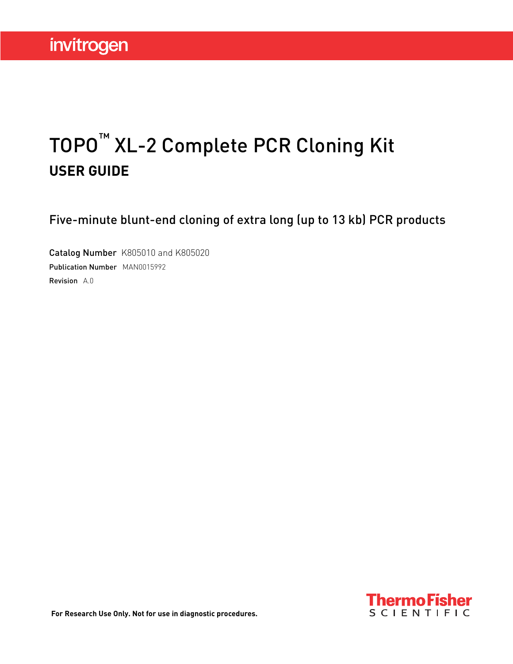# TOPO™ XL-2 Complete PCR Cloning Kit **USER GUIDE**

Five-minute blunt-end cloning of extra long (up to 13 kb) PCR products

Catalog Number K805010 and K805020 Publication Number MAN0015992 Revision A.0

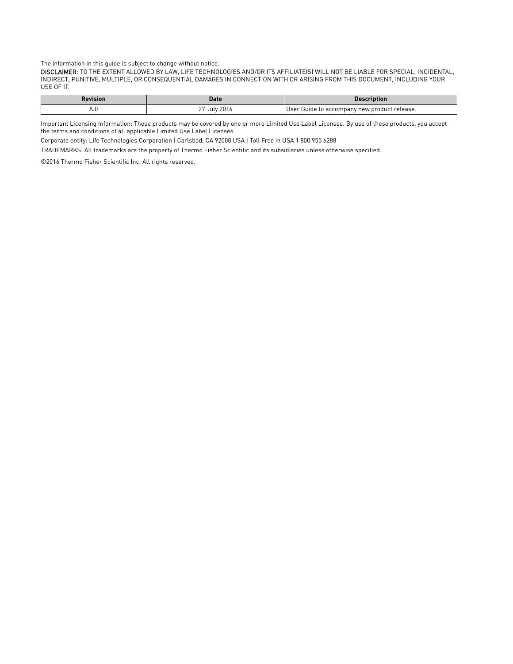The information in this guide is subject to change without notice.

DISCLAIMER: TO THE EXTENT ALLOWED BY LAW, LIFE TECHNOLOGIES AND/OR ITS AFFILIATE(S) WILL NOT BE LIABLE FOR SPECIAL, INCIDENTAL, INDIRECT, PUNITIVE, MULTIPLE, OR CONSEQUENTIAL DAMAGES IN CONNECTION WITH OR ARISING FROM THIS DOCUMENT, INCLUDING YOUR USE OF IT.

| ≀evision                             | Date         | ription                                       |
|--------------------------------------|--------------|-----------------------------------------------|
| ┌<br>the contract of the contract of | 2016<br>July | IUser Guide to accompany new product release. |

Important Licensing Information: These products may be covered by one or more Limited Use Label Licenses. By use of these products, you accept the terms and conditions of all applicable Limited Use Label Licenses.

Corporate entity: Life Technologies Corporation | Carlsbad, CA 92008 USA | Toll Free in USA 1 800 955 6288

TRADEMARKS: All trademarks are the property of Thermo Fisher Scientific and its subsidiaries unless otherwise specified.

©2016 Thermo Fisher Scientific Inc. All rights reserved.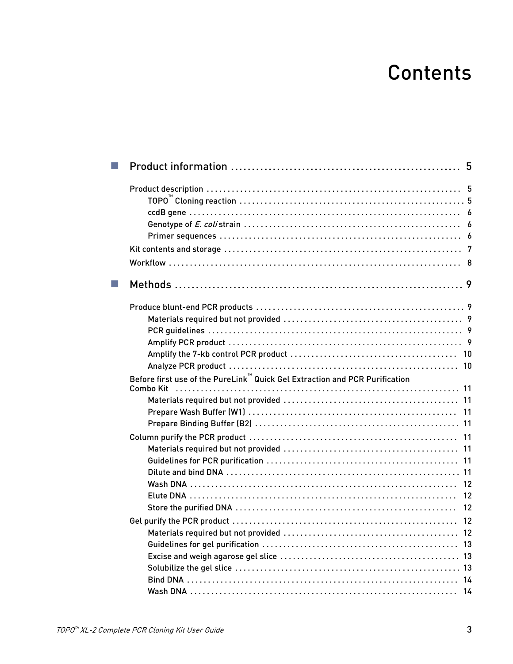# **Contents**

| Before first use of the PureLink™ Quick Gel Extraction and PCR Purification |  |
|-----------------------------------------------------------------------------|--|
|                                                                             |  |
|                                                                             |  |
|                                                                             |  |
|                                                                             |  |
|                                                                             |  |
|                                                                             |  |
|                                                                             |  |
|                                                                             |  |
|                                                                             |  |
|                                                                             |  |
|                                                                             |  |
|                                                                             |  |
|                                                                             |  |
|                                                                             |  |
|                                                                             |  |
|                                                                             |  |
|                                                                             |  |
|                                                                             |  |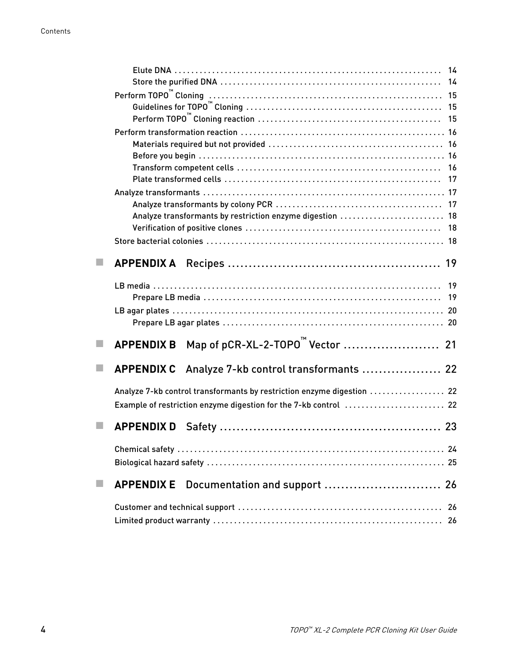|                             |                   | Analyze transformants by restriction enzyme digestion  18              |  |
|-----------------------------|-------------------|------------------------------------------------------------------------|--|
|                             |                   |                                                                        |  |
|                             |                   |                                                                        |  |
|                             |                   |                                                                        |  |
|                             |                   |                                                                        |  |
|                             |                   |                                                                        |  |
|                             |                   |                                                                        |  |
|                             |                   |                                                                        |  |
| $\mathcal{C}^{\mathcal{A}}$ | <b>APPENDIX B</b> |                                                                        |  |
|                             |                   | APPENDIX C Analyze 7-kb control transformants  22                      |  |
|                             |                   | Analyze 7-kb control transformants by restriction enzyme digestion  22 |  |
|                             |                   | Example of restriction enzyme digestion for the 7-kb control  22       |  |
|                             |                   |                                                                        |  |
|                             |                   |                                                                        |  |
|                             |                   |                                                                        |  |
|                             | <b>APPENDIX E</b> | Documentation and support  26                                          |  |
|                             |                   |                                                                        |  |
|                             |                   |                                                                        |  |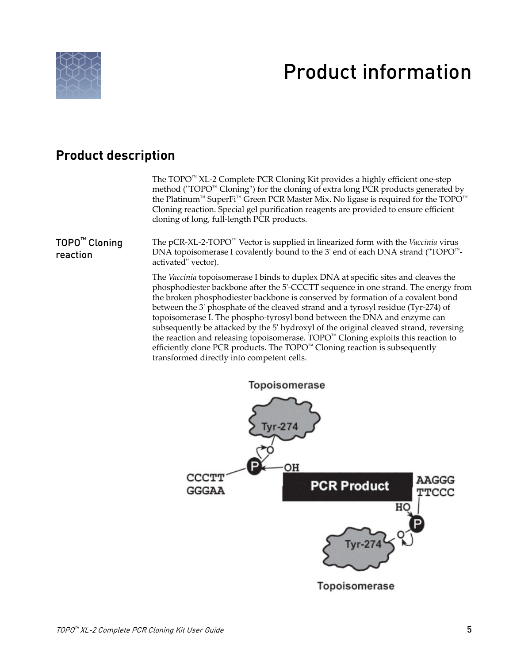<span id="page-4-0"></span>

# Product information

#### **Product description**

The TOPO™ XL-2 Complete PCR Cloning Kit provides a highly efficient one-step method ("TOPO™ Cloning") for the cloning of extra long PCR products generated by the Platinum<sup>™</sup> SuperFi<sup>™</sup> Green PCR Master Mix. No ligase is required for the TOPO<sup>™</sup> Cloning reaction. Special gel purification reagents are provided to ensure efficient cloning of long, full-length PCR products.

TOPO™ Cloning reaction

The pCR-XL-2-TOPO™ Vector is supplied in linearized form with the *Vaccinia* virus DNA topoisomerase I covalently bound to the 3' end of each DNA strand ("TOPO™ activated" vector).

The *Vaccinia* topoisomerase I binds to duplex DNA at specific sites and cleaves the phosphodiester backbone after the 5'-CCCTT sequence in one strand. The energy from the broken phosphodiester backbone is conserved by formation of a covalent bond between the 3' phosphate of the cleaved strand and a tyrosyl residue (Tyr-274) of topoisomerase I. The phospho-tyrosyl bond between the DNA and enzyme can subsequently be attacked by the 5' hydroxyl of the original cleaved strand, reversing the reaction and releasing topoisomerase. TOPO™ Cloning exploits this reaction to efficiently clone PCR products. The  $TOPO^{\mathbb{N}}$  Cloning reaction is subsequently transformed directly into competent cells.

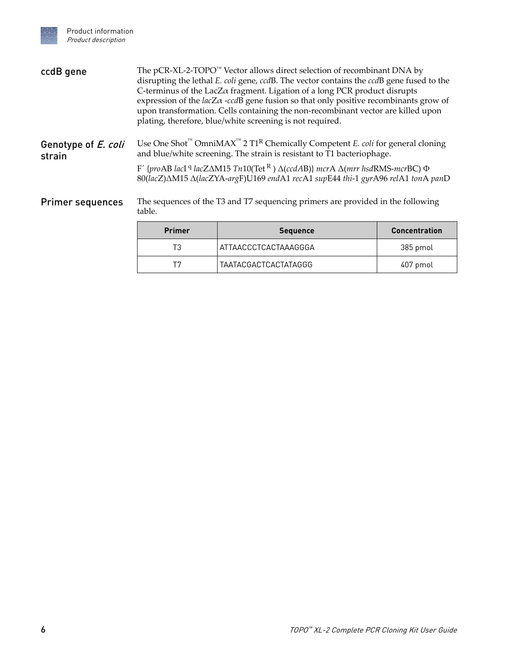<span id="page-5-0"></span>

| ccdB gene                     | The pCR-XL-2-TOPO <sup>™</sup> Vector allows direct selection of recombinant DNA by<br>disrupting the lethal E. coli gene, ccdB. The vector contains the ccdB gene fused to the<br>C-terminus of the Lac $Z\alpha$ fragment. Ligation of a long PCR product disrupts<br>expression of the $lacZ\alpha$ -ccdB gene fusion so that only positive recombinants grow of<br>upon transformation. Cells containing the non-recombinant vector are killed upon<br>plating, therefore, blue/white screening is not required. |                                                                                 |                      |
|-------------------------------|----------------------------------------------------------------------------------------------------------------------------------------------------------------------------------------------------------------------------------------------------------------------------------------------------------------------------------------------------------------------------------------------------------------------------------------------------------------------------------------------------------------------|---------------------------------------------------------------------------------|----------------------|
| Genotype of E. coli<br>strain | Use One Shot <sup>"</sup> OmniMAX <sup>"</sup> 2 T1 <sup>R</sup> Chemically Competent <i>E. coli</i> for general cloning<br>and blue/white screening. The strain is resistant to T1 bacteriophage.<br>F' {proAB lacI <sup>q</sup> lacZ $\triangle M15$ Tn10(Tet <sup>R</sup> ) $\triangle$ (ccdAB)} mcrA $\triangle$ (mrr hsdRMS-mcrBC) $\Phi$<br>80(lacZ) $\Delta M15 \Delta (lacZYA-argF)U169$ endA1 recA1 supE44 thi-1 gyrA96 relA1 tonA panD                                                                     |                                                                                 |                      |
| <b>Primer sequences</b>       | table.                                                                                                                                                                                                                                                                                                                                                                                                                                                                                                               | The sequences of the T3 and T7 sequencing primers are provided in the following |                      |
|                               | <b>Primer</b>                                                                                                                                                                                                                                                                                                                                                                                                                                                                                                        | <b>Sequence</b>                                                                 | <b>Concentration</b> |
|                               | T3                                                                                                                                                                                                                                                                                                                                                                                                                                                                                                                   | ATTAACCCTCACTAAAGGGA                                                            | 385 pmol             |

T7 | TAATACGACTCACTATAGGG | 407 pmol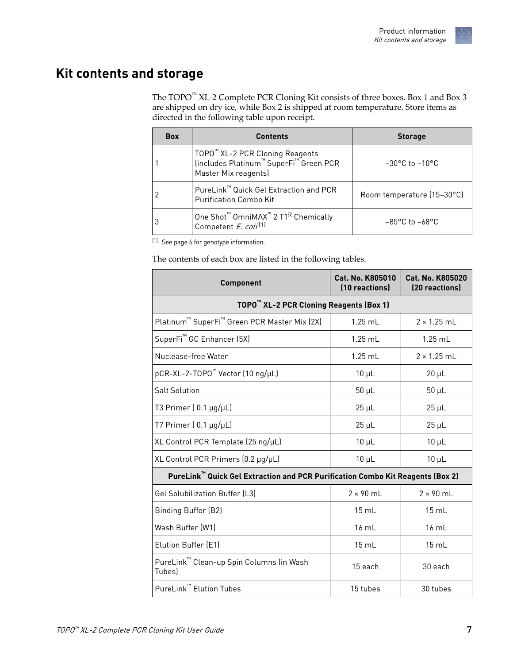

#### <span id="page-6-0"></span>**Kit contents and storage**

The  $\text{TOPO}^{\text{m}}$  XL-2 Complete PCR Cloning Kit consists of three boxes. Box 1 and Box 3 are shipped on dry ice, while Box 2 is shipped at room temperature. Store items as directed in the following table upon receipt.

| <b>Box</b> | <b>Contents</b>                                                                                             | <b>Storage</b>                     |
|------------|-------------------------------------------------------------------------------------------------------------|------------------------------------|
|            | TOPO™ XL-2 PCR Cloning Reagents<br>  (includes Platinum™ SuperFi™ Green PCR<br>Master Mix reagents)         | $-30^{\circ}$ C to $-10^{\circ}$ C |
|            | PureLink™ Quick Gel Extraction and PCR<br><b>Purification Combo Kit</b>                                     | Room temperature (15-30°C)         |
| 3          | One Shot <sup>™</sup> OmniMAX <sup>™</sup> 2 T1 <sup>R</sup> Chemically<br>Competent E. coli <sup>[1]</sup> | $-85^{\circ}$ C to $-68^{\circ}$ C |

[1] See page [6](#page-5-0) for genotype information.

The contents of each box are listed in the following tables.

| <b>Component</b>                                                               | Cat. No. K805010<br>(10 reactions) | Cat. No. K805020<br>(20 reactions) |
|--------------------------------------------------------------------------------|------------------------------------|------------------------------------|
| TOPO <sup>"</sup> XL-2 PCR Cloning Reagents (Box 1)                            |                                    |                                    |
| Platinum <sup>™</sup> SuperFi <sup>™</sup> Green PCR Master Mix (2X)           | $1.25$ mL                          | $2 \times 1.25$ ml                 |
| SuperFi <sup>™</sup> GC Enhancer (5X)                                          | $1.25$ mL                          | $1.25$ mL                          |
| Nuclease-free Water                                                            | $1.25$ mL                          | $2 \times 1.25$ mL                 |
| pCR-XL-2-TOPO™ Vector (10 ng/µL)                                               | $10 \mu L$                         | $20 \mu L$                         |
| <b>Salt Solution</b>                                                           | $50 \mu L$                         | $50 \mu L$                         |
| T3 Primer $(0.1 \mu g/\mu L)$                                                  | $25 \mu L$                         | $25 \mu L$                         |
| T7 Primer $(0.1 \mu g/\mu L)$                                                  | $25 \mu L$                         | $25 \mu L$                         |
| XL Control PCR Template (25 ng/µL)                                             | $10 \mu L$                         | $10 \mu L$                         |
| XL Control PCR Primers (0.2 µg/µL)                                             | $10 \mu L$                         | $10 \mu L$                         |
| PureLink™ Quick Gel Extraction and PCR Purification Combo Kit Reagents (Box 2) |                                    |                                    |
| <b>Gel Solubilization Buffer (L3)</b>                                          | $2 \times 90$ mL                   | $2 \times 90$ mL                   |
| <b>Binding Buffer (B2)</b>                                                     | 15 mL                              | 15 mL                              |
| Wash Buffer (W1)                                                               | $16 \text{ mL}$                    | $16 \text{ mL}$                    |
| Elution Buffer (E1)                                                            | $15 \text{ mL}$                    | $15 \text{ mL}$                    |
| PureLink <sup>™</sup> Clean-up Spin Columns (in Wash<br>Tubes)                 | 15 each                            | 30 each                            |
| PureLink™ Elution Tubes                                                        | 15 tubes                           | 30 tubes                           |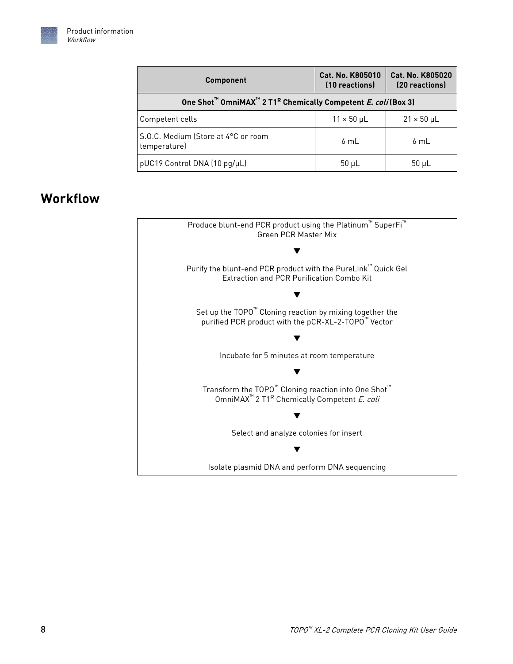<span id="page-7-0"></span>

| <b>Component</b>                                                                                  | Cat. No. K805010<br>(10 reactions) | <b>Cat. No. K805020</b><br>(20 reactions) |
|---------------------------------------------------------------------------------------------------|------------------------------------|-------------------------------------------|
| One Shot <sup>™</sup> OmniMAX <sup>™</sup> 2 T1 <sup>R</sup> Chemically Competent E. coli (Box 3) |                                    |                                           |
| Competent cells                                                                                   | $11 \times 50$ µL                  | $21 \times 50$ µL                         |
| S.O.C. Medium (Store at 4°C or room<br>temperature)                                               | 6mL                                | 6 mL                                      |
| pUC19 Control DNA (10 pg/µL)                                                                      | $50 \mu L$                         | $50 \mu L$                                |

### **Workflow**

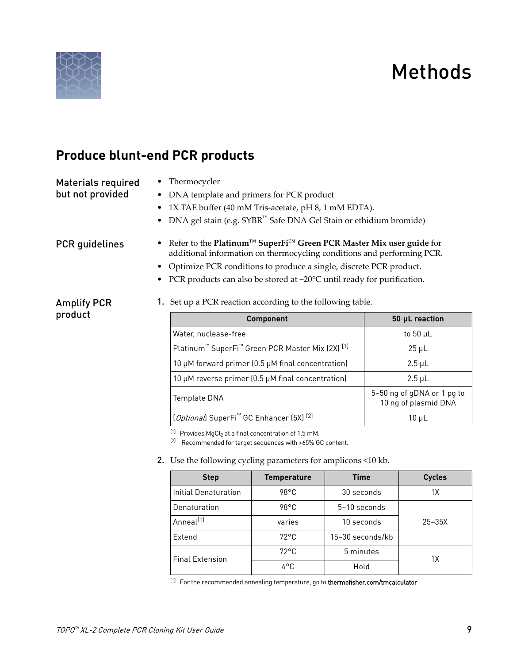# Methods

<span id="page-8-0"></span>

### **Produce blunt-end PCR products**

Materials required

• Thermocycler

#### but not provided

- DNA template and primers for PCR product
- 1X TAE buffer (40 mM Tris-acetate, pH 8, 1 mM EDTA).
- DNA gel stain (e.g. SYBR™ Safe DNA Gel Stain or ethidium bromide)

#### PCR guidelines

Amplify PCR product

- Refer to the **Platinum™ SuperFi™ [Green PCR Master Mix user guide](https://tools.thermofisher.com/content/sfs/manuals/platinum_superfi_green_pcr_master_mix_man.pdf)** for additional information on thermocycling conditions and performing PCR.
- Optimize PCR conditions to produce a single, discrete PCR product.
- PCR products can also be stored at -20°C until ready for purification.

#### 1. Set up a PCR reaction according to the following table.

| <b>Component</b>                                                                    | 50-µL reaction                                     |
|-------------------------------------------------------------------------------------|----------------------------------------------------|
| Water, nuclease-free                                                                | to 50 $\mu$ L                                      |
| Platinum <sup>™</sup> SuperFi <sup>™</sup> Green PCR Master Mix (2X) <sup>[1]</sup> | $25 \mu L$                                         |
| 10 µM forward primer (0.5 µM final concentration)                                   | $2.5 \mu L$                                        |
| 10 µM reverse primer (0.5 µM final concentration)                                   | $2.5 \mu L$                                        |
| Template DNA                                                                        | 5-50 ng of gDNA or 1 pg to<br>10 ng of plasmid DNA |
| [Optional] SuperFi <sup>™</sup> GC Enhancer (5X) <sup>[2]</sup>                     | 10 µL                                              |

 $^{[1]}$  Provides MgCl<sub>2</sub> at a final concentration of 1.5 mM.

[2] Recommended for target sequences with >65% GC content.

2. Use the following cycling parameters for amplicons <10 kb.

| <b>Step</b>            | <b>Temperature</b> | <b>Time</b>      | <b>Cycles</b> |
|------------------------|--------------------|------------------|---------------|
| Initial Denaturation   | $98^{\circ}$ C     | 30 seconds       | 1Χ            |
| Denaturation           | 98°C               | 5-10 seconds     |               |
| Anneal <sup>[1]</sup>  | varies             | 10 seconds       | $25 - 35X$    |
| Extend                 | $72^{\circ}$ C     | 15-30 seconds/kb |               |
| <b>Final Extension</b> | $72^{\circ}$ C     | 5 minutes        | 1X            |
|                        | 4°C                | Hold             |               |

[1] For the recommended annealing temperature, go to [thermofisher.com/tmcalculator](http://www.thermofisher.com/tmcalculator)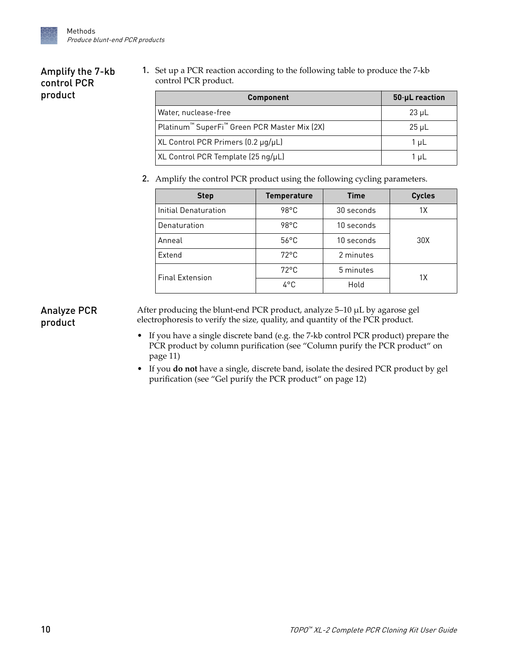#### <span id="page-9-0"></span>Amplify the 7-kb control PCR product

1. Set up a PCR reaction according to the following table to produce the 7-kb control PCR product.

| <b>Component</b>                                                     | 50-µL reaction |
|----------------------------------------------------------------------|----------------|
| Water, nuclease-free                                                 | $23 \mu L$     |
| Platinum <sup>™</sup> SuperFi <sup>™</sup> Green PCR Master Mix (2X) | $25 \mu L$     |
| XL Control PCR Primers (0.2 µg/µL)                                   | 1 µL           |
| XL Control PCR Template (25 ng/µL)                                   | 1 ul           |

2. Amplify the control PCR product using the following cycling parameters.

| <b>Step</b>            | <b>Temperature</b> | <b>Time</b> | <b>Cycles</b> |
|------------------------|--------------------|-------------|---------------|
| Initial Denaturation   | $98^{\circ}$ C     | 30 seconds  | 1X            |
| Denaturation           | $98^{\circ}$ C     | 10 seconds  |               |
| Anneal                 | $56^{\circ}$ C     | 10 seconds  | 30X           |
| Extend                 | $72^{\circ}$ C     | 2 minutes   |               |
| <b>Final Extension</b> | $72^{\circ}$ C     | 5 minutes   | 1X            |
|                        | 4°C                | Hold        |               |

#### Analyze PCR product

After producing the blunt-end PCR product, analyze 5–10 µL by agarose gel electrophoresis to verify the size, quality, and quantity of the PCR product.

- If you have a single discrete band (e.g. the 7-kb control PCR product) prepare the PCR product by column purification (see ["Column purify the PCR product" on](#page-10-0) [page 11\)](#page-10-0)
- If you **do not** have a single, discrete band, isolate the desired PCR product by gel purification (see ["Gel purify the PCR product" on page 12](#page-11-0))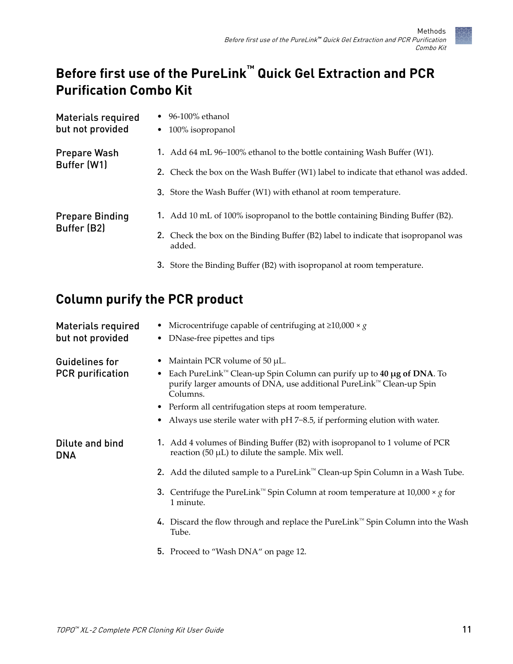### <span id="page-10-0"></span>**Before first use of the PureLink™ Quick Gel Extraction and PCR Purification Combo Kit**

| Materials required<br>but not provided | 96-100% ethanol<br>100% isopropanol<br>$\bullet$                                             |
|----------------------------------------|----------------------------------------------------------------------------------------------|
| <b>Prepare Wash</b>                    | 1. Add 64 mL 96-100% ethanol to the bottle containing Wash Buffer (W1).                      |
| Buffer (W1)                            | 2. Check the box on the Wash Buffer (W1) label to indicate that ethanol was added.           |
|                                        | <b>3.</b> Store the Wash Buffer (W1) with ethanol at room temperature.                       |
| <b>Prepare Binding</b><br>Buffer (B2)  | 1. Add 10 mL of 100% isopropanol to the bottle containing Binding Buffer (B2).               |
|                                        | 2. Check the box on the Binding Buffer (B2) label to indicate that isopropanol was<br>added. |
|                                        | 3. Store the Binding Buffer (B2) with isopropanol at room temperature.                       |

### **Column purify the PCR product**

| <b>Materials required</b><br>but not provided    | Microcentrifuge capable of centrifuging at $\geq 10,000 \times g$<br>DNase-free pipettes and tips                                                                                                                                                                                                                                                   |
|--------------------------------------------------|-----------------------------------------------------------------------------------------------------------------------------------------------------------------------------------------------------------------------------------------------------------------------------------------------------------------------------------------------------|
| <b>Guidelines for</b><br><b>PCR</b> purification | Maintain PCR volume of 50 µL.<br>Each PureLink <sup>™</sup> Clean-up Spin Column can purify up to 40 $\mu$ g of DNA. To<br>purify larger amounts of DNA, use additional PureLink™ Clean-up Spin<br>Columns.<br>• Perform all centrifugation steps at room temperature.<br>Always use sterile water with pH 7-8.5, if performing elution with water. |
| Dilute and bind<br><b>DNA</b>                    | 1. Add 4 volumes of Binding Buffer (B2) with isopropanol to 1 volume of PCR<br>reaction (50 $\mu$ L) to dilute the sample. Mix well.                                                                                                                                                                                                                |
|                                                  | 2. Add the diluted sample to a PureLink <sup><math>M</math></sup> Clean-up Spin Column in a Wash Tube.                                                                                                                                                                                                                                              |
|                                                  | 3. Centrifuge the PureLink™ Spin Column at room temperature at 10,000 $\times$ g for<br>1 minute.                                                                                                                                                                                                                                                   |
|                                                  | 4. Discard the flow through and replace the PureLink <sup>™</sup> Spin Column into the Wash<br>Tube.                                                                                                                                                                                                                                                |
|                                                  | <b>5.</b> Proceed to "Wash DNA" on page 12.                                                                                                                                                                                                                                                                                                         |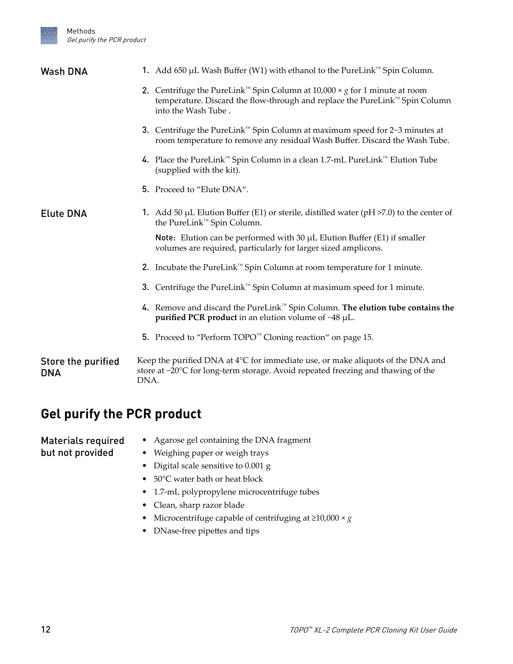<span id="page-11-0"></span>

| <b>Wash DNA</b>                  | 1. Add 650 µL Wash Buffer (W1) with ethanol to the PureLink™ Spin Column.                                                                                                                       |
|----------------------------------|-------------------------------------------------------------------------------------------------------------------------------------------------------------------------------------------------|
|                                  | 2. Centrifuge the PureLink™ Spin Column at 10,000 × $g$ for 1 minute at room<br>temperature. Discard the flow-through and replace the PureLink™ Spin Column<br>into the Wash Tube.              |
|                                  | 3. Centrifuge the PureLink <sup>™</sup> Spin Column at maximum speed for 2-3 minutes at<br>room temperature to remove any residual Wash Buffer. Discard the Wash Tube.                          |
|                                  | 4. Place the PureLink <sup>™</sup> Spin Column in a clean 1.7-mL PureLink™ Elution Tube<br>(supplied with the kit).                                                                             |
|                                  | 5. Proceed to "Elute DNA".                                                                                                                                                                      |
| <b>Elute DNA</b>                 | 1. Add 50 $\mu$ L Elution Buffer (E1) or sterile, distilled water (pH >7.0) to the center of<br>the PureLink™ Spin Column.                                                                      |
|                                  | Note: Elution can be performed with 30 $\mu$ L Elution Buffer (E1) if smaller<br>volumes are required, particularly for larger sized amplicons.                                                 |
|                                  | 2. Incubate the PureLink <sup><math>m</math></sup> Spin Column at room temperature for 1 minute.                                                                                                |
|                                  | 3. Centrifuge the PureLink <sup>™</sup> Spin Column at maximum speed for 1 minute.                                                                                                              |
|                                  | 4. Remove and discard the PureLink <sup>™</sup> Spin Column. The elution tube contains the<br>purified PCR product in an elution volume of $~48$ $\mu$ L.                                       |
|                                  | 5. Proceed to "Perform TOPO™ Cloning reaction" on page 15.                                                                                                                                      |
| Store the purified<br><b>DNA</b> | Keep the purified DNA at $4^{\circ}$ C for immediate use, or make aliquots of the DNA and<br>store at $-20^{\circ}$ C for long-term storage. Avoid repeated freezing and thawing of the<br>DNA. |

### **Gel purify the PCR product**

• Agarose gel containing the DNA fragment • Weighing paper or weigh trays • Digital scale sensitive to 0.001 g • 50°C water bath or heat block • 1.7-mL polypropylene microcentrifuge tubes Materials required but not provided

- Clean, sharp razor blade
- Microcentrifuge capable of centrifuging at ≥10,000 × *g*
- DNase-free pipettes and tips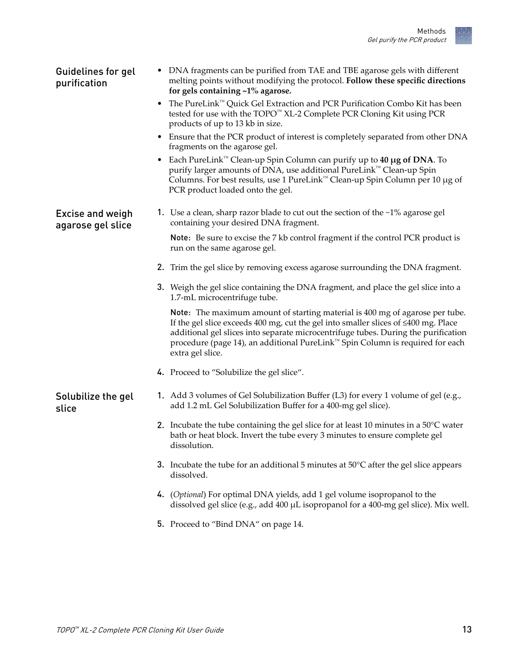

<span id="page-12-0"></span>

| <b>Guidelines for gel</b><br>purification    | • DNA fragments can be purified from TAE and TBE agarose gels with different<br>melting points without modifying the protocol. Follow these specific directions<br>for gels containing $~1\%$ agarose.                                                                                                                                                              |
|----------------------------------------------|---------------------------------------------------------------------------------------------------------------------------------------------------------------------------------------------------------------------------------------------------------------------------------------------------------------------------------------------------------------------|
|                                              | The PureLink <sup>™</sup> Quick Gel Extraction and PCR Purification Combo Kit has been<br>tested for use with the TOPO™ XL-2 Complete PCR Cloning Kit using PCR<br>products of up to 13 kb in size.                                                                                                                                                                 |
|                                              | • Ensure that the PCR product of interest is completely separated from other DNA<br>fragments on the agarose gel.                                                                                                                                                                                                                                                   |
|                                              | Each PureLink <sup>™</sup> Clean-up Spin Column can purify up to 40 µg of DNA. To<br>purify larger amounts of DNA, use additional PureLink <sup>™</sup> Clean-up Spin<br>Columns. For best results, use 1 PureLink™ Clean-up Spin Column per 10 µg of<br>PCR product loaded onto the gel.                                                                           |
| <b>Excise and weigh</b><br>agarose gel slice | 1. Use a clean, sharp razor blade to cut out the section of the $\sim$ 1% agarose gel<br>containing your desired DNA fragment.                                                                                                                                                                                                                                      |
|                                              | Note: Be sure to excise the 7 kb control fragment if the control PCR product is<br>run on the same agarose gel.                                                                                                                                                                                                                                                     |
|                                              | 2. Trim the gel slice by removing excess agarose surrounding the DNA fragment.                                                                                                                                                                                                                                                                                      |
|                                              | 3. Weigh the gel slice containing the DNA fragment, and place the gel slice into a<br>1.7-mL microcentrifuge tube.                                                                                                                                                                                                                                                  |
|                                              | Note: The maximum amount of starting material is 400 mg of agarose per tube.<br>If the gel slice exceeds 400 mg, cut the gel into smaller slices of $\leq 400$ mg. Place<br>additional gel slices into separate microcentrifuge tubes. During the purification<br>procedure (page 14), an additional PureLink™ Spin Column is required for each<br>extra gel slice. |
|                                              | 4. Proceed to "Solubilize the gel slice".                                                                                                                                                                                                                                                                                                                           |
| Solubilize the gel<br>slice                  | 1. Add 3 volumes of Gel Solubilization Buffer (L3) for every 1 volume of gel (e.g.,<br>add 1.2 mL Gel Solubilization Buffer for a 400-mg gel slice).                                                                                                                                                                                                                |
|                                              | 2. Incubate the tube containing the gel slice for at least 10 minutes in a $50^{\circ}$ C water<br>bath or heat block. Invert the tube every 3 minutes to ensure complete gel<br>dissolution.                                                                                                                                                                       |
|                                              | 3. Incubate the tube for an additional 5 minutes at $50^{\circ}$ C after the gel slice appears<br>dissolved.                                                                                                                                                                                                                                                        |
|                                              | 4. (Optional) For optimal DNA yields, add 1 gel volume isopropanol to the<br>dissolved gel slice (e.g., add 400 µL isopropanol for a 400-mg gel slice). Mix well.                                                                                                                                                                                                   |
|                                              | 5. Proceed to "Bind DNA" on page 14.                                                                                                                                                                                                                                                                                                                                |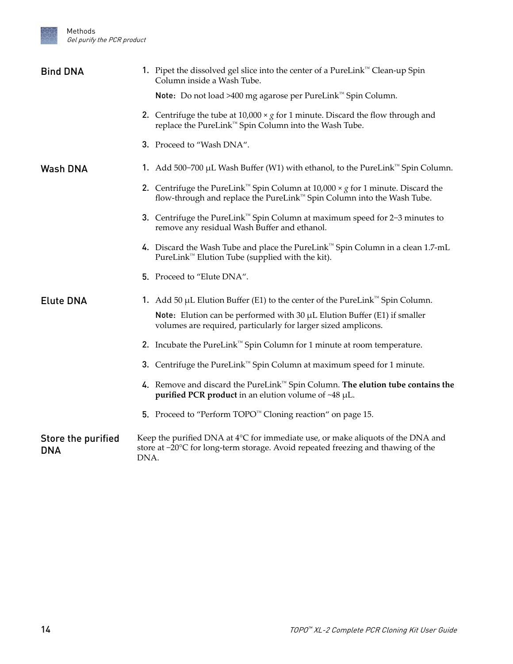<span id="page-13-0"></span>

| <b>Bind DNA</b>                  | 1. Pipet the dissolved gel slice into the center of a PureLink™ Clean-up Spin<br>Column inside a Wash Tube.                                                                           |
|----------------------------------|---------------------------------------------------------------------------------------------------------------------------------------------------------------------------------------|
|                                  | Note: Do not load >400 mg agarose per PureLink™ Spin Column.                                                                                                                          |
|                                  | 2. Centrifuge the tube at 10,000 $\times$ g for 1 minute. Discard the flow through and<br>replace the PureLink™ Spin Column into the Wash Tube.                                       |
|                                  | 3. Proceed to "Wash DNA".                                                                                                                                                             |
| <b>Wash DNA</b>                  | 1. Add 500-700 µL Wash Buffer (W1) with ethanol, to the PureLink <sup>™</sup> Spin Column.                                                                                            |
|                                  | 2. Centrifuge the PureLink <sup>™</sup> Spin Column at 10,000 $\times$ g for 1 minute. Discard the<br>flow-through and replace the PureLink™ Spin Column into the Wash Tube.          |
|                                  | 3. Centrifuge the PureLink <sup>™</sup> Spin Column at maximum speed for 2-3 minutes to<br>remove any residual Wash Buffer and ethanol.                                               |
|                                  | 4. Discard the Wash Tube and place the PureLink™ Spin Column in a clean 1.7-mL<br>PureLink <sup>™</sup> Elution Tube (supplied with the kit).                                         |
|                                  | 5. Proceed to "Elute DNA".                                                                                                                                                            |
| <b>Elute DNA</b>                 | 1. Add 50 µL Elution Buffer (E1) to the center of the PureLink <sup>™</sup> Spin Column.                                                                                              |
|                                  | Note: Elution can be performed with 30 $\mu$ L Elution Buffer (E1) if smaller<br>volumes are required, particularly for larger sized amplicons.                                       |
|                                  | 2. Incubate the PureLink <sup><math>M</math></sup> Spin Column for 1 minute at room temperature.                                                                                      |
|                                  | 3. Centrifuge the PureLink <sup>™</sup> Spin Column at maximum speed for 1 minute.                                                                                                    |
|                                  | 4. Remove and discard the PureLink <sup>™</sup> Spin Column. The elution tube contains the<br><b>purified PCR product</b> in an elution volume of $~48$ $~\mu$ L.                     |
|                                  | 5. Proceed to "Perform TOPO™ Cloning reaction" on page 15.                                                                                                                            |
| Store the purified<br><b>DNA</b> | Keep the purified DNA at $4^{\circ}$ C for immediate use, or make aliquots of the DNA and<br>store at -20°C for long-term storage. Avoid repeated freezing and thawing of the<br>DNA. |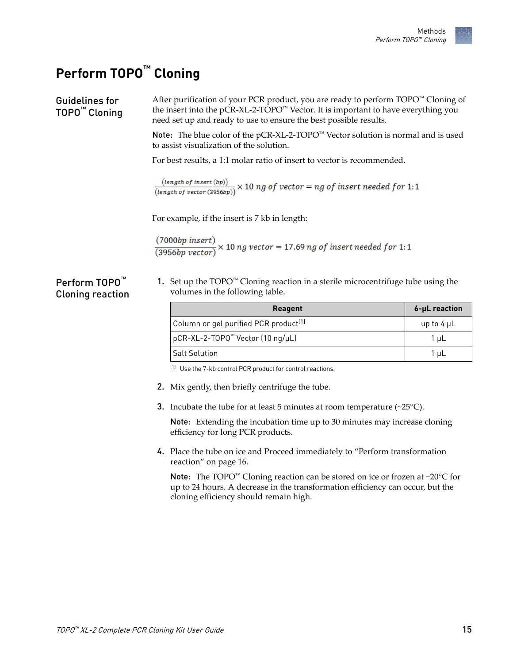### <span id="page-14-0"></span>**Perform TOPO™ Cloning**

Perform TOPO<sup>™</sup> Cloning reaction

After purification of your PCR product, you are ready to perform TOPO™ Cloning of the insert into the pCR-XL-2-TOPO™ Vector. It is important to have everything you need set up and ready to use to ensure the best possible results. Note: The blue color of the pCR-XL-2-TOPO™ Vector solution is normal and is used to assist visualization of the solution. For best results, a 1:1 molar ratio of insert to vector is recommended. Guidelines for TOPO™ Cloning

 $\frac{(length of insert (bp))}{(length of vector (3956bp))} \times 10 ng of vector = ng of insert needed for 1:1$ 

For example, if the insert is 7 kb in length:

 $\frac{(7000bp\ insert)}{(3956bp\ vector)} \times 10\ ng\ vector = 17.69\ ng\ of\ insert\ needed\ for\ 1:1$ 

1. Set up the TOPO™ Cloning reaction in a sterile microcentrifuge tube using the volumes in the following table.

| <b>Reagent</b>                                    | 6-µL reaction   |
|---------------------------------------------------|-----------------|
| Column or gel purified PCR product <sup>[1]</sup> | up to $4 \mu L$ |
| pCR-XL-2-TOPO <sup>™</sup> Vector (10 ng/µL)      | 1 uL            |
| <b>Salt Solution</b>                              | 1 uL            |

[1] Use the 7-kb control PCR product for control reactions.

- 2. Mix gently, then briefly centrifuge the tube.
- **3.** Incubate the tube for at least 5 minutes at room temperature  $(\sim 25^{\circ}C)$ .

Note: Extending the incubation time up to 30 minutes may increase cloning efficiency for long PCR products.

4. Place the tube on ice and Proceed immediately to ["Perform transformation](#page-15-0) [reaction" on page 16](#page-15-0).

Note: The TOPO™ Cloning reaction can be stored on ice or frozen at −20°C for up to 24 hours. A decrease in the transformation efficiency can occur, but the cloning efficienc¢ should remain high.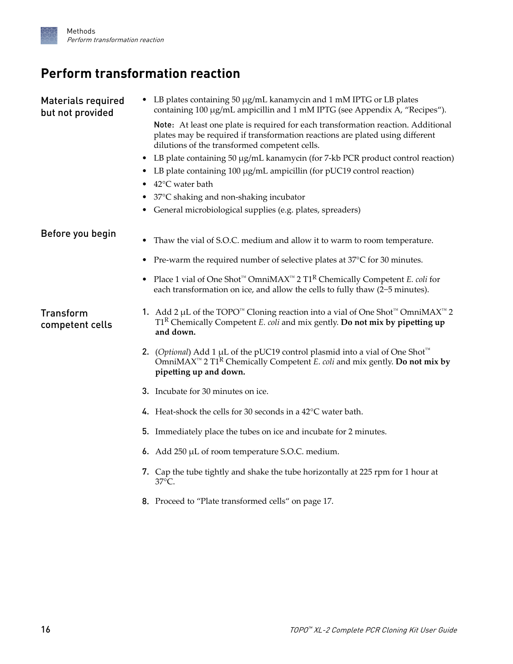### <span id="page-15-0"></span>**Perform transformation reaction**

| <b>Materials required</b><br>but not provided | LB plates containing 50 µg/mL kanamycin and 1 mM IPTG or LB plates<br>containing 100 μg/mL ampicillin and 1 mM IPTG (see Appendix A, "Recipes").                                                                               |
|-----------------------------------------------|--------------------------------------------------------------------------------------------------------------------------------------------------------------------------------------------------------------------------------|
|                                               | Note: At least one plate is required for each transformation reaction. Additional<br>plates may be required if transformation reactions are plated using different<br>dilutions of the transformed competent cells.            |
|                                               | LB plate containing 50 µg/mL kanamycin (for 7-kb PCR product control reaction)<br>٠                                                                                                                                            |
|                                               | LB plate containing 100 µg/mL ampicillin (for pUC19 control reaction)                                                                                                                                                          |
|                                               | $42^{\circ}$ C water bath                                                                                                                                                                                                      |
|                                               | 37°C shaking and non-shaking incubator                                                                                                                                                                                         |
|                                               | General microbiological supplies (e.g. plates, spreaders)                                                                                                                                                                      |
| Before you begin                              | Thaw the vial of S.O.C. medium and allow it to warm to room temperature.<br>٠                                                                                                                                                  |
|                                               |                                                                                                                                                                                                                                |
|                                               | Pre-warm the required number of selective plates at 37°C for 30 minutes.<br>٠                                                                                                                                                  |
|                                               | Place 1 vial of One Shot <sup>™</sup> OmniMAX <sup>™</sup> 2 T1 <sup>R</sup> Chemically Competent <i>E. coli</i> for<br>٠<br>each transformation on ice, and allow the cells to fully thaw (2-5 minutes).                      |
| <b>Transform</b><br>competent cells           | 1. Add 2 µL of the TOPO <sup>™</sup> Cloning reaction into a vial of One Shot <sup>™</sup> OmniMAX <sup>™</sup> 2<br>$T1R$ Chemically Competent <i>E. coli</i> and mix gently. <b>Do not mix by pipetting up</b><br>and down.  |
|                                               | 2. (Optional) Add 1 µL of the pUC19 control plasmid into a vial of One Shot <sup>™</sup><br>OmniMAX <sup>™</sup> 2 T1 <sup>R</sup> Chemically Competent <i>E. coli</i> and mix gently. Do not mix by<br>pipetting up and down. |
|                                               | 3. Incubate for 30 minutes on ice.                                                                                                                                                                                             |
|                                               | 4. Heat-shock the cells for 30 seconds in a $42^{\circ}$ C water bath.                                                                                                                                                         |
|                                               | 5. Immediately place the tubes on ice and incubate for 2 minutes.                                                                                                                                                              |
|                                               | 6. Add 250 µL of room temperature S.O.C. medium.                                                                                                                                                                               |
|                                               | 7. Cap the tube tightly and shake the tube horizontally at 225 rpm for 1 hour at<br>37°C.                                                                                                                                      |
|                                               | 8. Proceed to "Plate transformed cells" on page 17.                                                                                                                                                                            |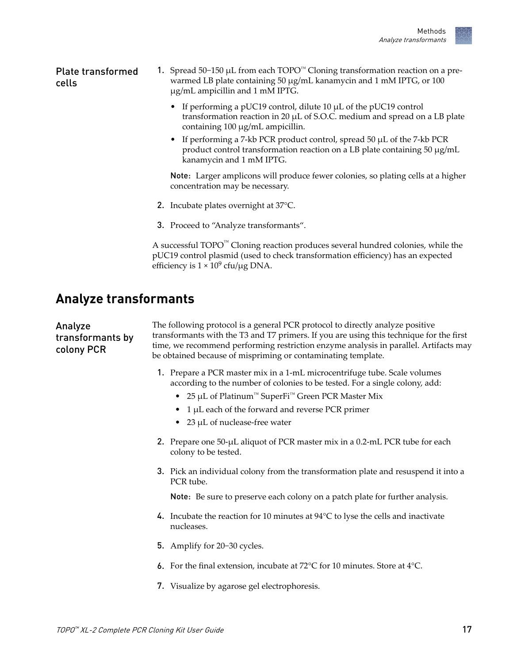<span id="page-16-0"></span>1. Spread 50−150 µL from each TOPO™ Cloning transformation reaction on a prewarmed LB plate containing 50 µg/mL kanamycin and 1 mM IPTG, or 100 µg/mL ampicillin and 1 mM IPTG. Plate transformed cells

- If performing a pUC19 control, dilute 10 µL of the pUC19 control transformation reaction in 20  $\mu$ L of S.O.C. medium and spread on a LB plate containing 100 µg/mL ampicillin.
- If performing a 7-kb PCR product control, spread 50 µL of the 7-kb PCR product control transformation reaction on a LB plate containing 50 µg/mL kanamycin and 1 mM IPTG.

Note: Larger amplicons will produce fewer colonies, so plating cells at a higher concentration may be necessary.

- 2. Incubate plates overnight at 37°C.
- 3. Proceed to "Analyze transformants".

A successful  $\text{TOPO}^{\text{m}}$  Cloning reaction produces several hundred colonies, while the pUC19 control plasmid (used to check transformation efficiency) has an expected efficiency is  $1 \times 10^9$  cfu/µg DNA.

#### **Analyze transformants**

| Analyze<br>transformants by<br>colony PCR | The following protocol is a general PCR protocol to directly analyze positive<br>transformants with the T3 and T7 primers. If you are using this technique for the first<br>time, we recommend performing restriction enzyme analysis in parallel. Artifacts may<br>be obtained because of mispriming or contaminating template. |  |
|-------------------------------------------|----------------------------------------------------------------------------------------------------------------------------------------------------------------------------------------------------------------------------------------------------------------------------------------------------------------------------------|--|
|                                           | 1. Prepare a PCR master mix in a 1-mL microcentrifuge tube. Scale volumes<br>according to the number of colonies to be tested. For a single colony, add:                                                                                                                                                                         |  |
|                                           | • 25 µL of Platinum <sup>™</sup> SuperFi <sup>™</sup> Green PCR Master Mix                                                                                                                                                                                                                                                       |  |
|                                           | 1 µL each of the forward and reverse PCR primer                                                                                                                                                                                                                                                                                  |  |
|                                           | 23 µL of nuclease-free water                                                                                                                                                                                                                                                                                                     |  |
|                                           | 2. Prepare one 50-µL aliquot of PCR master mix in a 0.2-mL PCR tube for each<br>colony to be tested.                                                                                                                                                                                                                             |  |
|                                           | 3. Pick an individual colony from the transformation plate and resuspend it into a<br>PCR tube.                                                                                                                                                                                                                                  |  |
|                                           | Note: Be sure to preserve each colony on a patch plate for further analysis.                                                                                                                                                                                                                                                     |  |
|                                           | 4. Incubate the reaction for 10 minutes at $94^{\circ}$ C to lyse the cells and inactivate<br>nucleases.                                                                                                                                                                                                                         |  |
|                                           | 5. Amplify for 20-30 cycles.                                                                                                                                                                                                                                                                                                     |  |
|                                           | 6. For the final extension, incubate at $72^{\circ}$ C for 10 minutes. Store at $4^{\circ}$ C.                                                                                                                                                                                                                                   |  |
|                                           | 7. Visualize by agarose gel electrophoresis.                                                                                                                                                                                                                                                                                     |  |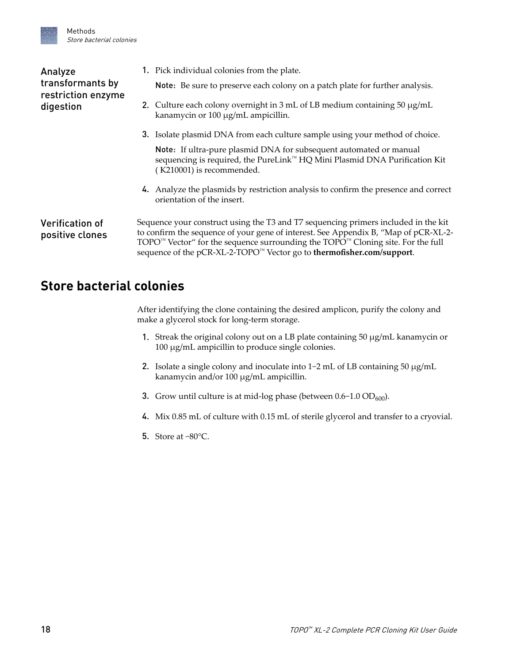<span id="page-17-0"></span>

| Analyze<br>transformants by<br>restriction enzyme<br>digestion | 1. Pick individual colonies from the plate.<br>Note: Be sure to preserve each colony on a patch plate for further analysis.                                                                                                                                                                                                                                                   |
|----------------------------------------------------------------|-------------------------------------------------------------------------------------------------------------------------------------------------------------------------------------------------------------------------------------------------------------------------------------------------------------------------------------------------------------------------------|
|                                                                | 2. Culture each colony overnight in 3 mL of LB medium containing $50 \mu g/mL$<br>kanamycin or 100 µg/mL ampicillin.                                                                                                                                                                                                                                                          |
|                                                                | 3. Isolate plasmid DNA from each culture sample using your method of choice.                                                                                                                                                                                                                                                                                                  |
|                                                                | Note: If ultra-pure plasmid DNA for subsequent automated or manual<br>sequencing is required, the PureLink™ HQ Mini Plasmid DNA Purification Kit<br>(K210001) is recommended.                                                                                                                                                                                                 |
|                                                                | 4. Analyze the plasmids by restriction analysis to confirm the presence and correct<br>orientation of the insert.                                                                                                                                                                                                                                                             |
| <b>Verification of</b><br>positive clones                      | Sequence your construct using the T3 and T7 sequencing primers included in the kit<br>to confirm the sequence of your gene of interest. See Appendix B, "Map of pCR-XL-2-<br>$\text{TOPO}^{\text{TM}}$ Vector" for the sequence surrounding the $\text{TOPO}^{\text{TM}}$ Cloning site. For the full<br>sequence of the pCR-XL-2-TOPO™ Vector go to thermofisher.com/support. |

#### **Store bacterial colonies**

After identifying the clone containing the desired amplicon, purify the colony and make a glycerol stock for long-term storage.

- 1. Streak the original colony out on a LB plate containing 50 µg/mL kanamycin or 100 µg/mL ampicillin to produce single colonies.
- 2. Isolate a single colony and inoculate into 1−2 mL of LB containing 50 µg/mL kanamycin and/or 100 µg/mL ampicillin.
- 3. Grow until culture is at mid-log phase (between 0.6-1.0 OD<sub>600</sub>).
- 4. Mix 0.85 mL of culture with 0.15 mL of sterile glycerol and transfer to a cryovial.
- 5. Store at −80°C.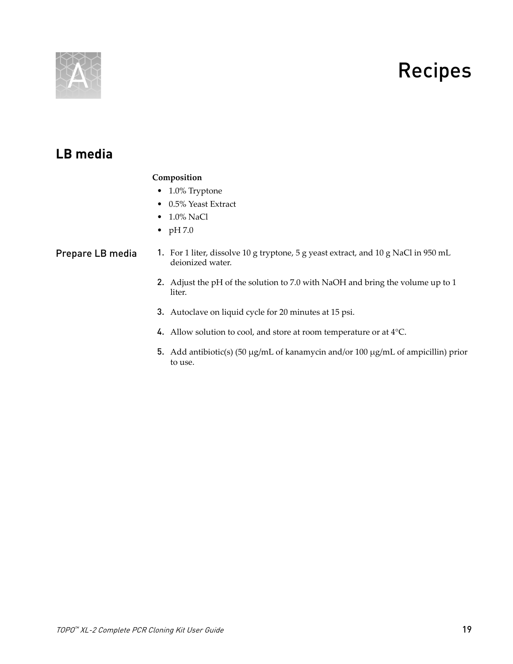# Recipes

<span id="page-18-0"></span>

### **LB media**

#### **Composition**

- 1.0% Tryptone
- 0.5% Yeast Extract
- 1.0% NaCl
- pH 7.0

#### 1. For 1 liter, dissolve 10 g tryptone, 5 g yeast extract, and 10 g NaCl in 950 mL deionized water. Prepare LB media

- 2. Adjust the pH of the solution to 7.0 with NaOH and bring the volume up to 1 liter.
- 3. Autoclave on liquid cycle for 20 minutes at 15 psi.
- 4. Allow solution to cool, and store at room temperature or at 4°C.
- 5. Add antibiotic(s) (50 µg/mL of kanamycin and/or 100 µg/mL of ampicillin) prior to use.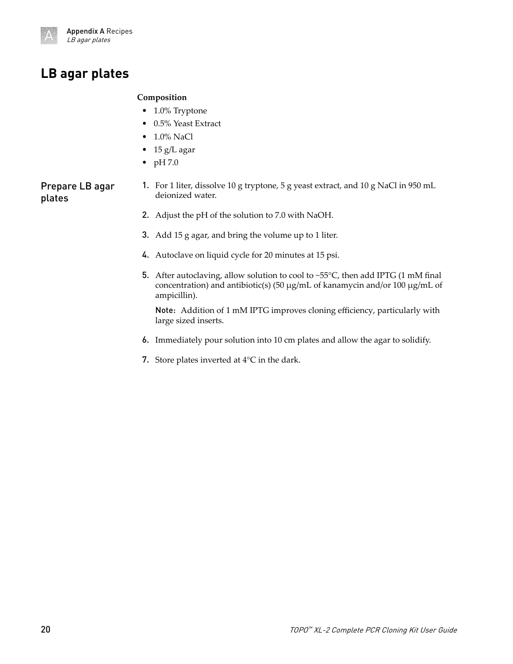<span id="page-19-0"></span>

#### **LB agar plates**

#### **Composition**

- 1.0% Tryptone
- 0.5% Yeast Extract
- 1.0% NaCl
- 15 g/L agar
- $\bullet$  pH 7.0

Prepare LB agar plates

- 1. For 1 liter, dissolve 10 g tryptone, 5 g yeast extract, and 10 g NaCl in 950 mL deionized water.
- 2. Adjust the pH of the solution to 7.0 with NaOH.
- 3. Add 15 g agar, and bring the volume up to 1 liter.
- 4. Autoclave on liquid cycle for 20 minutes at 15 psi.
- 5. After autoclaving, allow solution to cool to ~55 $^{\circ}$ C, then add IPTG (1 mM final concentration) and antibiotic(s) (50  $\mu$ g/mL of kanamycin and/or 100  $\mu$ g/mL of ampicillin).

Note: Addition of 1 mM IPTG improves cloning efficiency, particularly with large sized inserts.

- 6. Immediately pour solution into 10 cm plates and allow the agar to solidify.
- 7. Store plates inverted at 4°C in the dark.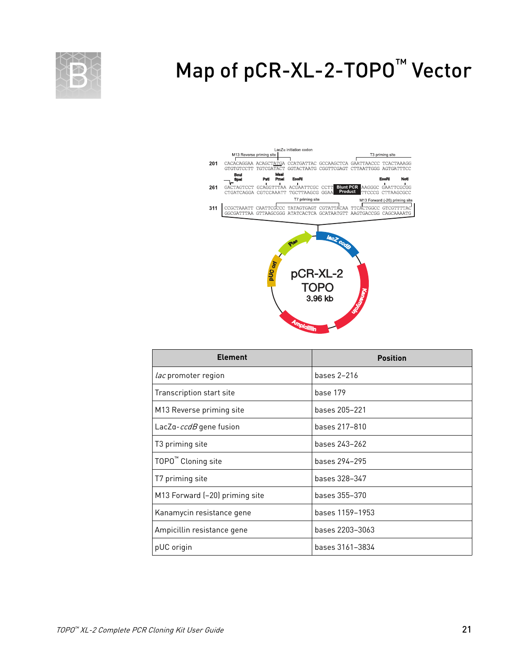<span id="page-20-0"></span>

# Map of pCR-XL-2-TOPO<sup>™</sup> Vector



| <b>Element</b>                 | <b>Position</b> |
|--------------------------------|-----------------|
| <i>lac</i> promoter region     | bases 2-216     |
| Transcription start site       | base 179        |
| M13 Reverse priming site       | bases 205-221   |
| LacZa- <i>ccdB</i> gene fusion | bases 217–810   |
| T3 priming site                | bases 243-262   |
| TOPO <sup>™</sup> Cloning site | bases 294-295   |
| T7 priming site                | bases 328–347   |
| M13 Forward (-20) priming site | bases 355–370   |
| Kanamycin resistance gene      | bases 1159-1953 |
| Ampicillin resistance gene     | bases 2203-3063 |
| pUC origin                     | bases 3161-3834 |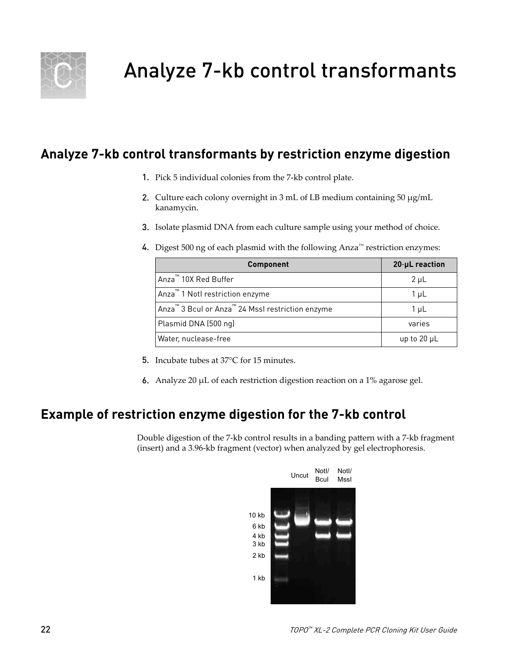<span id="page-21-0"></span>

### **Analyze 7-kb control transformants by restriction enzyme digestion**

- 1. Pick 5 individual colonies from the 7-kb control plate.
- 2. Culture each colony overnight in 3 mL of LB medium containing 50 µg/mL kanamycin.
- 3. Isolate plasmid DNA from each culture sample using your method of choice.
- 4. Digest 500 ng of each plasmid with the following Anza<sup> $M$ </sup> restriction enzymes:

| <b>Component</b>                                                         | 20-µL reaction |
|--------------------------------------------------------------------------|----------------|
| Anza <sup>™</sup> 10X Red Buffer                                         | $2 \mu L$      |
| Anza <sup>™</sup> 1 Notl restriction enzyme                              | $1 \mu L$      |
| Anza <sup>™</sup> 3 Bcul or Anza <sup>™</sup> 24 Mssl restriction enzyme | $1 \mu L$      |
| Plasmid DNA (500 ng)                                                     | varies         |
| Water, nuclease-free                                                     | up to 20 µL    |

- 5. Incubate tubes at 37°C for 15 minutes.
- 6. Analyze 20 µL of each restriction digestion reaction on a 1% agarose gel.

#### **Example of restriction enzyme digestion for the 7-kb control**

Double digestion of the 7-kb control results in a banding pattern with a 7-kb fragment (insert) and a 3.96-kb fragment (vector) when analyzed by gel electrophoresis.

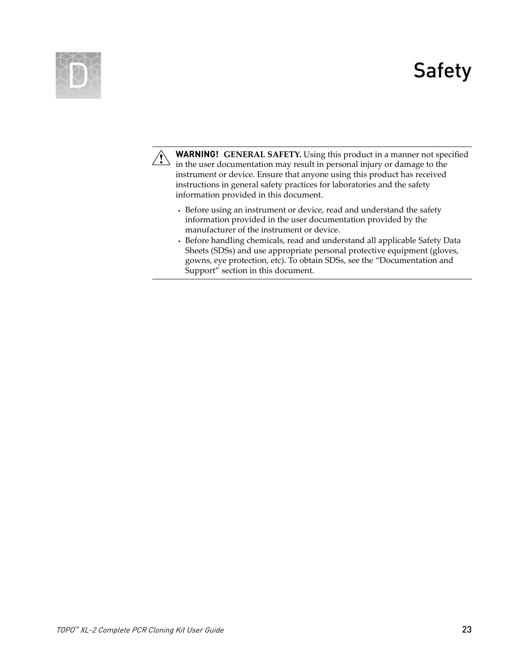# Safety

<span id="page-22-0"></span>



**WARNING! GENERAL SAFETY.** Using this product in a manner not specified in the user documentation may result in personal injury or damage to the instrument or device. Ensure that anyone using this product has received instructions in general safety practices for laboratories and the safety information provided in this document.

- **·** Before using an instrument or device, read and understand the safety information provided in the user documentation provided by the manufacturer of the instrument or device.
- **·** Before handling chemicals, read and understand all applicable Safety Data Sheets (SDSs) and use appropriate personal protective equipment (gloves, gowns, eye protection, etc). To obtain SDSs, see the "Documentation and Support" section in this document.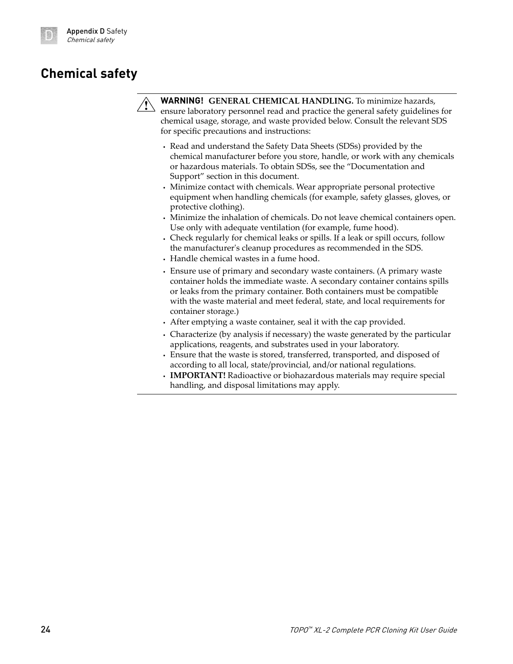### <span id="page-23-0"></span>**Chemical safety**



**WARNING! GENERAL CHEMICAL HANDLING.** To minimize hazards, ensure laboratory personnel read and practice the general safety guidelines for chemical usage, storage, and waste provided below. Consult the relevant SDS for specific precautions and instructions:

- **·** Read and understand the Safety Data Sheets (SDSs) provided by the chemical manufacturer before you store, handle, or work with any chemicals or hazardous materials. To obtain SDSs, see the "Documentation and Support" section in this document.
- **·** Minimize contact with chemicals. Wear appropriate personal protective equipment when handling chemicals (for example, safety glasses, gloves, or protective clothing).
- **·** Minimize the inhalation of chemicals. Do not leave chemical containers open. Use only with adequate ventilation (for example, fume hood).
- **·** Check regularly for chemical leaks or spills. If a leak or spill occurs, follow the manufacturer's cleanup procedures as recommended in the SDS.
- **·** Handle chemical wastes in a fume hood.
- **·** Ensure use of primary and secondary waste containers. (A primary waste container holds the immediate waste. A secondary container contains spills or leaks from the primary container. Both containers must be compatible with the waste material and meet federal, state, and local requirements for container storage.)
- **·** After emptying a waste container, seal it with the cap provided.
- **·** Characterize (by analysis if necessary) the waste generated by the particular applications, reagents, and substrates used in your laboratory.
- **·** Ensure that the waste is stored, transferred, transported, and disposed of according to all local, state/provincial, and/or national regulations.
- **· IMPORTANT!** Radioactive or biohazardous materials may require special handling, and disposal limitations may apply.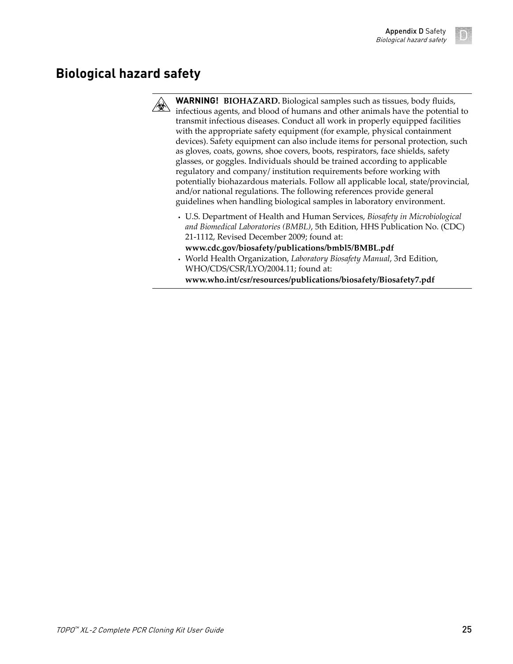## <span id="page-24-0"></span>**Biological hazard safety**



**WARNING! BIOHAZARD.** Biological samples such as tissues, body fluidsǰ infectious agents, and blood of humans and other animals have the potential to transmit infectious diseases. Conduct all work in properly equipped facilities with the appropriate safety equipment (for example, physical containment devices). Safety equipment can also include items for personal protection, such as gloves, coats, gowns, shoe covers, boots, respirators, face shields, safety glasses, or goggles. Individuals should be trained according to applicable regulatory and company/ institution requirements before working with potentially biohazardous materials. Follow all applicable local, state/provincial, and/or national regulations. The following references provide general guidelines when handling biological samples in laboratory environment.

- **·** U.S. Department of Health and Human Services, *Biosafety in Microbiological and Biomedical Laboratories (BMBL)*, 5th Edition, HHS Publication No. (CDC) 21-1112, Revised December 2009; found at:
- **[www.cdc.gov/biosafety/publications/bmbl5/BMBL.pdf](http://www.cdc.gov/biosafety/publications/bmbl5/BMBL.pdf) ·** World Health Organization, *Laboratory Biosafety Manual*, 3rd Edition, WHO/CDS/CSR/LYO/2004.11; found at: **[www.who.int/csr/resources/publications/biosafety/Biosafety7.pdf](http://www.who.int/csr/resources/publications/biosafety/Biosafety7.pdf)**

TOPO ™ XL-2 Complete PCR Cloning Kit User Guide 25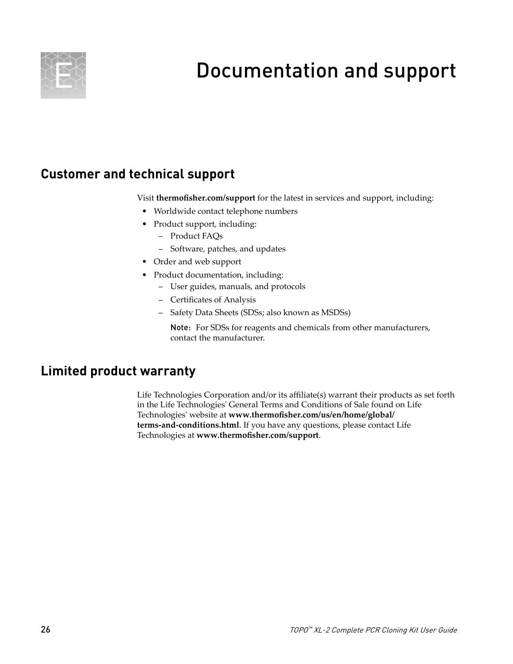<span id="page-25-0"></span>

# Documentation and support

### **Customer and technical support**

Visit **thermofisher.com/support** for the latest in services and support, including:

- Worldwide contact telephone numbers
- Product support, including:
	- Product FAQs
	- Software, patches, and updates
- Order and web support
- Product documentation, including:
	- User guides, manuals, and protocols
	- Certificates of Analysis
	- Safety Data Sheets (SDSs; also known as MSDSs)

Note: For SDSs for reagents and chemicals from other manufacturers, contact the manufacturer.

#### **Limited product warranty**

Life Technologies Corporation and/or its affiliate(s) warrant their products as set forth in the Life Technologies' General Terms and Conditions of Sale found on Life Technologies' website at www.thermofisher.com/us/en/home/global/ **[terms-and-conditions.html](http://www.thermofisher.com/us/en/home/global/terms-and-conditions.html)**. If you have any questions, please contact Life Technologies at www.thermofisher.com/support.